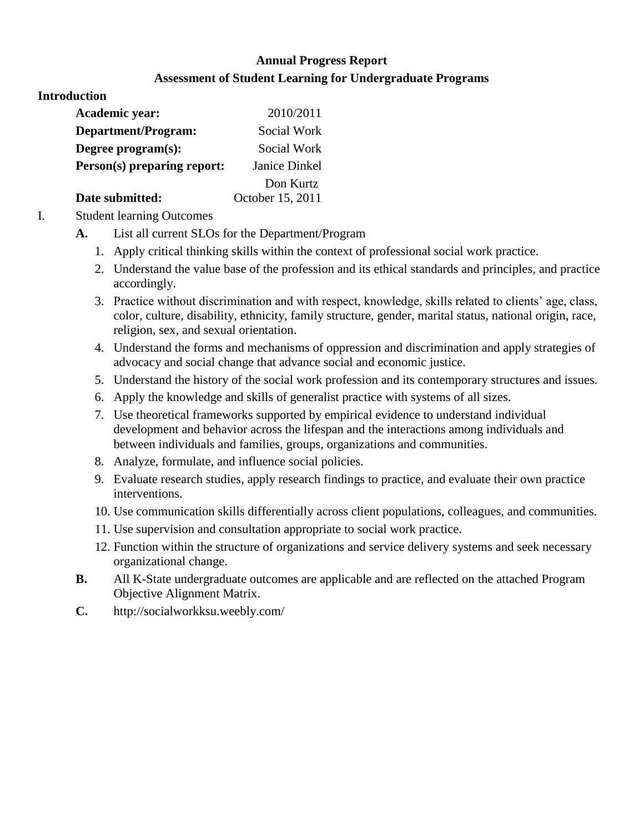# **Annual Progress Report Assessment of Student Learning for Undergraduate Programs**

#### **Introduction**

| <b>Academic year:</b>       | 2010/2011        |
|-----------------------------|------------------|
| Department/Program:         | Social Work      |
| Degree program(s):          | Social Work      |
| Person(s) preparing report: | Janice Dinkel    |
|                             | Don Kurtz        |
| Date submitted:             | October 15, 2011 |

I. Student learning Outcomes

- **A.** List all current SLOs for the Department/Program
	- 1. Apply critical thinking skills within the context of professional social work practice.
	- 2. Understand the value base of the profession and its ethical standards and principles, and practice accordingly.
	- 3. Practice without discrimination and with respect, knowledge, skills related to clients' age, class, color, culture, disability, ethnicity, family structure, gender, marital status, national origin, race, religion, sex, and sexual orientation.
	- 4. Understand the forms and mechanisms of oppression and discrimination and apply strategies of advocacy and social change that advance social and economic justice.
	- 5. Understand the history of the social work profession and its contemporary structures and issues.
	- 6. Apply the knowledge and skills of generalist practice with systems of all sizes.
	- 7. Use theoretical frameworks supported by empirical evidence to understand individual development and behavior across the lifespan and the interactions among individuals and between individuals and families, groups, organizations and communities.
	- 8. Analyze, formulate, and influence social policies.
	- 9. Evaluate research studies, apply research findings to practice, and evaluate their own practice interventions.
	- 10. Use communication skills differentially across client populations, colleagues, and communities.
	- 11. Use supervision and consultation appropriate to social work practice.
	- 12. Function within the structure of organizations and service delivery systems and seek necessary organizational change.
- **B.** All K-State undergraduate outcomes are applicable and are reflected on the attached Program Objective Alignment Matrix.
- **C.** http://socialworkksu.weebly.com/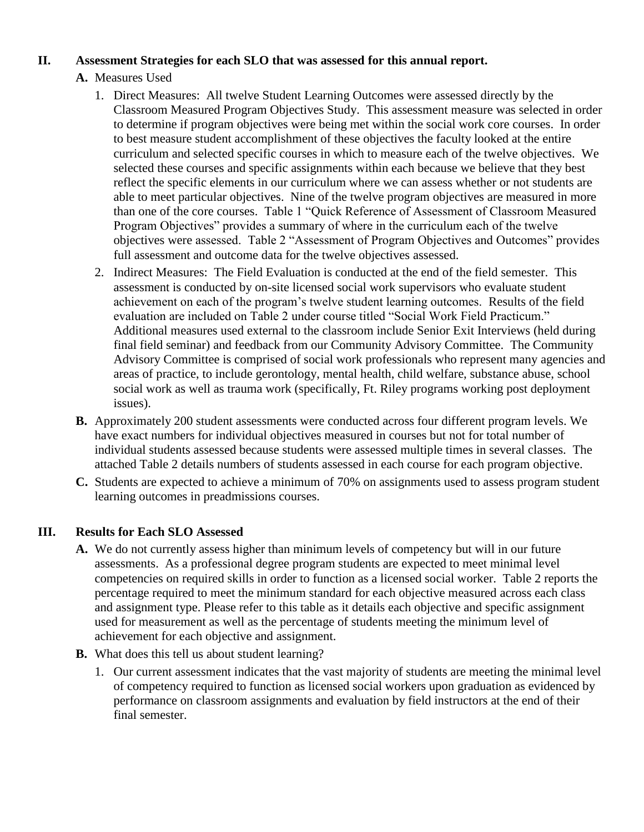### **II. Assessment Strategies for each SLO that was assessed for this annual report.**

- **A.** Measures Used
	- 1. Direct Measures: All twelve Student Learning Outcomes were assessed directly by the Classroom Measured Program Objectives Study. This assessment measure was selected in order to determine if program objectives were being met within the social work core courses. In order to best measure student accomplishment of these objectives the faculty looked at the entire curriculum and selected specific courses in which to measure each of the twelve objectives. We selected these courses and specific assignments within each because we believe that they best reflect the specific elements in our curriculum where we can assess whether or not students are able to meet particular objectives. Nine of the twelve program objectives are measured in more than one of the core courses. Table 1 "Quick Reference of Assessment of Classroom Measured Program Objectives" provides a summary of where in the curriculum each of the twelve objectives were assessed. Table 2 "Assessment of Program Objectives and Outcomes" provides full assessment and outcome data for the twelve objectives assessed.
	- 2. Indirect Measures: The Field Evaluation is conducted at the end of the field semester. This assessment is conducted by on-site licensed social work supervisors who evaluate student achievement on each of the program's twelve student learning outcomes. Results of the field evaluation are included on Table 2 under course titled "Social Work Field Practicum." Additional measures used external to the classroom include Senior Exit Interviews (held during final field seminar) and feedback from our Community Advisory Committee. The Community Advisory Committee is comprised of social work professionals who represent many agencies and areas of practice, to include gerontology, mental health, child welfare, substance abuse, school social work as well as trauma work (specifically, Ft. Riley programs working post deployment issues).
- **B.** Approximately 200 student assessments were conducted across four different program levels. We have exact numbers for individual objectives measured in courses but not for total number of individual students assessed because students were assessed multiple times in several classes. The attached Table 2 details numbers of students assessed in each course for each program objective.
- **C.** Students are expected to achieve a minimum of 70% on assignments used to assess program student learning outcomes in preadmissions courses.

## **III. Results for Each SLO Assessed**

- **A.** We do not currently assess higher than minimum levels of competency but will in our future assessments. As a professional degree program students are expected to meet minimal level competencies on required skills in order to function as a licensed social worker. Table 2 reports the percentage required to meet the minimum standard for each objective measured across each class and assignment type. Please refer to this table as it details each objective and specific assignment used for measurement as well as the percentage of students meeting the minimum level of achievement for each objective and assignment.
- **B.** What does this tell us about student learning?
	- 1. Our current assessment indicates that the vast majority of students are meeting the minimal level of competency required to function as licensed social workers upon graduation as evidenced by performance on classroom assignments and evaluation by field instructors at the end of their final semester.